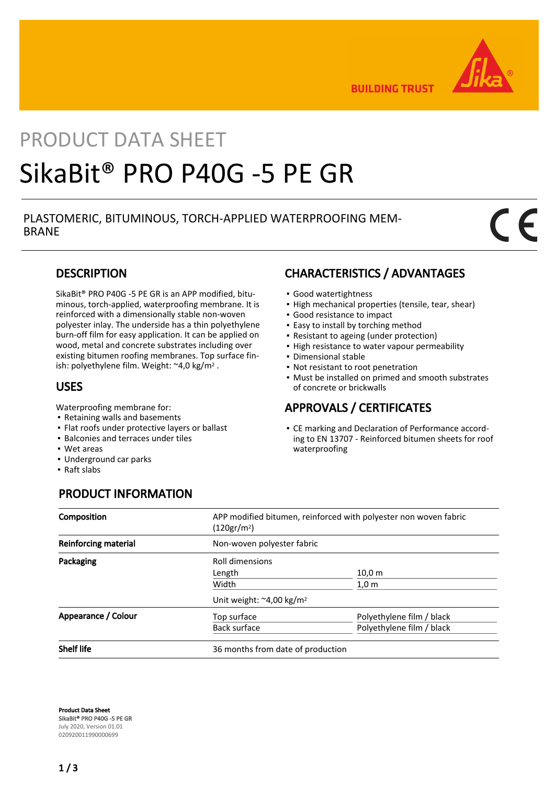

**BUILDING TRUST** 

# PRODUCT DATA SHEET SikaBit® PRO P40G -5 PE GR

### PLASTOMERIC, BITUMINOUS, TORCH-APPLIED WATERPROOFING MEM-BRANE

### **DESCRIPTION**

SikaBit® PRO P40G -5 PE GR is an APP modified, bituminous, torch-applied, waterproofing membrane. It is reinforced with a dimensionally stable non-woven polyester inlay. The underside has a thin polyethylene burn-off film for easy application. It can be applied on wood, metal and concrete substrates including over existing bitumen roofing membranes. Top surface finish: polyethylene film. Weight: ~4,0 kg/m2 .

### USES

Waterproofing membrane for:

- Retaining walls and basements
- Flat roofs under protective layers or ballast
- Balconies and terraces under tiles
- Wet areas
- Underground car parks
- Raft slabs

### CHARACTERISTICS / ADVANTAGES

- Good watertightness
- High mechanical properties (tensile, tear, shear)
- Good resistance to impact
- **Easy to install by torching method**
- Resistant to ageing (under protection)
- **.** High resistance to water vapour permeability
- Dimensional stable
- Not resistant to root penetration
- Must be installed on primed and smooth substrates of concrete or brickwalls

### APPROVALS / CERTIFICATES

CE marking and Declaration of Performance accord-▪ ing to EN 13707 - Reinforced bitumen sheets for roof waterproofing

### PRODUCT INFORMATION

| Composition                 | APP modified bitumen, reinforced with polyester non woven fabric<br>(120gr/m <sup>2</sup> ) |                           |  |
|-----------------------------|---------------------------------------------------------------------------------------------|---------------------------|--|
| <b>Reinforcing material</b> | Non-woven polyester fabric                                                                  |                           |  |
| Packaging                   | Roll dimensions                                                                             |                           |  |
|                             | Length                                                                                      | 10,0 m                    |  |
|                             | Width                                                                                       | $1,0 \text{ m}$           |  |
|                             | Unit weight: $\approx$ 4,00 kg/m <sup>2</sup>                                               |                           |  |
| Appearance / Colour         | Top surface                                                                                 | Polyethylene film / black |  |
|                             | Back surface                                                                                | Polyethylene film / black |  |
| <b>Shelf life</b>           | 36 months from date of production                                                           |                           |  |

Product Data Sheet SikaBit® PRO P40G -5 PE GR July 2020, Version 01.01 020920011990000699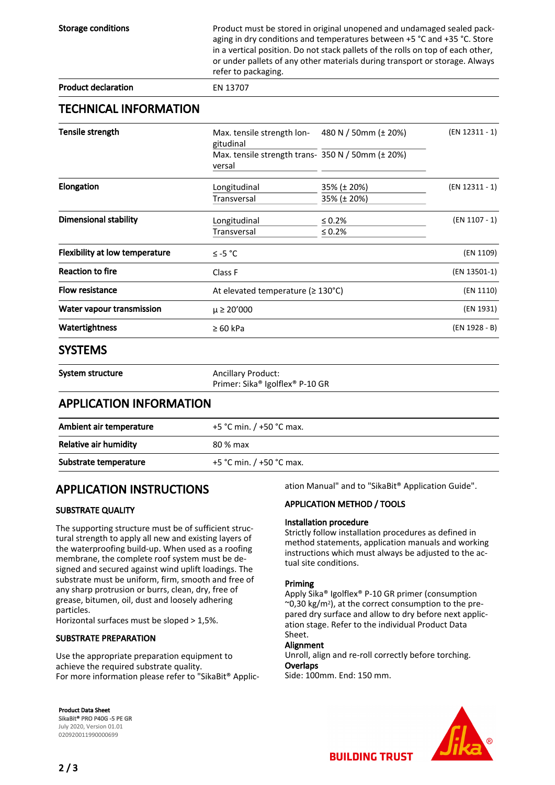| <b>Storage conditions</b>             | refer to packaging.                                         | Product must be stored in original unopened and undamaged sealed pack-<br>aging in dry conditions and temperatures between +5 °C and +35 °C. Store<br>in a vertical position. Do not stack pallets of the rolls on top of each other,<br>or under pallets of any other materials during transport or storage. Always |                 |
|---------------------------------------|-------------------------------------------------------------|----------------------------------------------------------------------------------------------------------------------------------------------------------------------------------------------------------------------------------------------------------------------------------------------------------------------|-----------------|
| <b>Product declaration</b>            | EN 13707                                                    |                                                                                                                                                                                                                                                                                                                      |                 |
| <b>TECHNICAL INFORMATION</b>          |                                                             |                                                                                                                                                                                                                                                                                                                      |                 |
| Tensile strength                      | Max. tensile strength lon-<br>gitudinal                     | 480 N / 50mm (± 20%)                                                                                                                                                                                                                                                                                                 | (EN 12311 - 1)  |
|                                       | Max. tensile strength trans- 350 N / 50mm (± 20%)<br>versal |                                                                                                                                                                                                                                                                                                                      |                 |
| Elongation                            | Longitudinal                                                | 35% (± 20%)                                                                                                                                                                                                                                                                                                          | (EN 12311 - 1)  |
|                                       | <b>Transversal</b>                                          | 35% (± 20%)                                                                                                                                                                                                                                                                                                          |                 |
| <b>Dimensional stability</b>          | Longitudinal                                                | $\leq 0.2\%$                                                                                                                                                                                                                                                                                                         | $(EN 1107 - 1)$ |
|                                       | Transversal                                                 | $\leq 0.2\%$                                                                                                                                                                                                                                                                                                         |                 |
| <b>Flexibility at low temperature</b> | $≤ -5 °C$                                                   |                                                                                                                                                                                                                                                                                                                      | (EN 1109)       |
| <b>Reaction to fire</b>               | Class F                                                     |                                                                                                                                                                                                                                                                                                                      | (EN 13501-1)    |
| <b>Flow resistance</b>                |                                                             | At elevated temperature ( $\geq 130^{\circ}$ C)                                                                                                                                                                                                                                                                      |                 |
| <b>Water vapour transmission</b>      | $\mu \ge 20'000$                                            |                                                                                                                                                                                                                                                                                                                      | (EN 1931)       |
| Watertightness                        | $\geq 60$ kPa                                               |                                                                                                                                                                                                                                                                                                                      | (EN 1928 - B)   |
| SYSTEMS                               |                                                             |                                                                                                                                                                                                                                                                                                                      |                 |

### SYSTEMS

System structure Ancillary Product:

Primer: Sika® Igolflex® P-10 GR

### APPLICATION INFORMATION

| Ambient air temperature | +5 °C min. / +50 °C max.   |
|-------------------------|----------------------------|
| Relative air humidity   | 80 % max                   |
| Substrate temperature   | +5 °C min. $/$ +50 °C max. |

### APPLICATION INSTRUCTIONS

#### SUBSTRATE QUALITY

The supporting structure must be of sufficient structural strength to apply all new and existing layers of the waterproofing build-up. When used as a roofing membrane, the complete roof system must be designed and secured against wind uplift loadings. The substrate must be uniform, firm, smooth and free of any sharp protrusion or burrs, clean, dry, free of grease, bitumen, oil, dust and loosely adhering particles.

Horizontal surfaces must be sloped > 1,5%.

#### SUBSTRATE PREPARATION

Use the appropriate preparation equipment to achieve the required substrate quality. For more information please refer to "SikaBit® Application Manual" and to "SikaBit® Application Guide".

#### APPLICATION METHOD / TOOLS

#### Installation procedure

Strictly follow installation procedures as defined in method statements, application manuals and working instructions which must always be adjusted to the actual site conditions.

#### Priming

Apply Sika® Igolflex® P-10 GR primer (consumption  $\sim$ 0,30 kg/m<sup>2</sup>), at the correct consumption to the prepared dry surface and allow to dry before next application stage. Refer to the individual Product Data Sheet.

#### Alignment

Unroll, align and re-roll correctly before torching. **Overlaps** 

Side: 100mm. End: 150 mm.



Product Data Sheet SikaBit® PRO P40G -5 PE GR July 2020, Version 01.01 020920011990000699

**BUILDING TRUST**